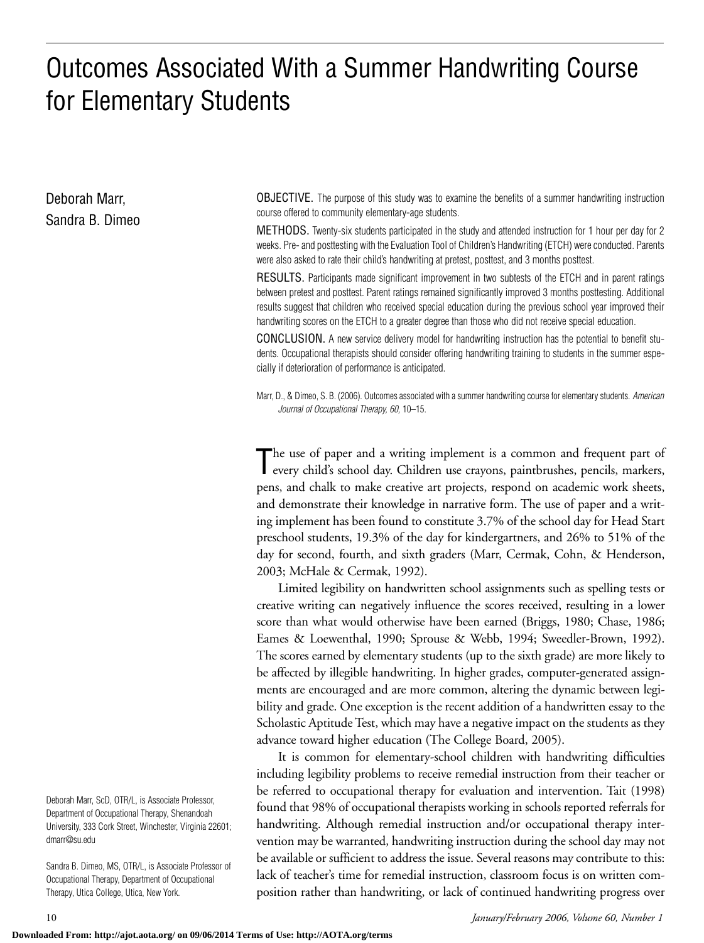# Outcomes Associated With a Summer Handwriting Course for Elementary Students

Deborah Marr, Sandra B. Dimeo OBJECTIVE. The purpose of this study was to examine the benefits of a summer handwriting instruction course offered to community elementary-age students.

METHODS. Twenty-six students participated in the study and attended instruction for 1 hour per day for 2 weeks. Pre- and posttesting with the Evaluation Tool of Children's Handwriting (ETCH) were conducted. Parents were also asked to rate their child's handwriting at pretest, posttest, and 3 months posttest.

RESULTS. Participants made significant improvement in two subtests of the ETCH and in parent ratings between pretest and posttest. Parent ratings remained significantly improved 3 months posttesting. Additional results suggest that children who received special education during the previous school year improved their handwriting scores on the ETCH to a greater degree than those who did not receive special education.

CONCLUSION. A new service delivery model for handwriting instruction has the potential to benefit students. Occupational therapists should consider offering handwriting training to students in the summer especially if deterioration of performance is anticipated.

Marr, D., & Dimeo, S. B. (2006). Outcomes associated with a summer handwriting course for elementary students. *American Journal of Occupational Therapy, 60,* 10–15.

The use of paper and a writing implement is a common and frequent part of every child's school day. Children use crayons, paintbrushes, pencils, markers, The use of paper and a writing implement is a common and frequent part of pens, and chalk to make creative art projects, respond on academic work sheets, and demonstrate their knowledge in narrative form. The use of paper and a writing implement has been found to constitute 3.7% of the school day for Head Start preschool students, 19.3% of the day for kindergartners, and 26% to 51% of the day for second, fourth, and sixth graders (Marr, Cermak, Cohn, & Henderson, 2003; McHale & Cermak, 1992).

Limited legibility on handwritten school assignments such as spelling tests or creative writing can negatively influence the scores received, resulting in a lower score than what would otherwise have been earned (Briggs, 1980; Chase, 1986; Eames & Loewenthal, 1990; Sprouse & Webb, 1994; Sweedler-Brown, 1992). The scores earned by elementary students (up to the sixth grade) are more likely to be affected by illegible handwriting. In higher grades, computer-generated assignments are encouraged and are more common, altering the dynamic between legibility and grade. One exception is the recent addition of a handwritten essay to the Scholastic Aptitude Test, which may have a negative impact on the students as they advance toward higher education (The College Board, 2005).

It is common for elementary-school children with handwriting difficulties including legibility problems to receive remedial instruction from their teacher or be referred to occupational therapy for evaluation and intervention. Tait (1998) found that 98% of occupational therapists working in schools reported referrals for handwriting. Although remedial instruction and/or occupational therapy intervention may be warranted, handwriting instruction during the school day may not be available or sufficient to address the issue. Several reasons may contribute to this: lack of teacher's time for remedial instruction, classroom focus is on written composition rather than handwriting, or lack of continued handwriting progress over

Deborah Marr, ScD, OTR/L, is Associate Professor, Department of Occupational Therapy, Shenandoah University, 333 Cork Street, Winchester, Virginia 22601; dmarr@su.edu

Sandra B. Dimeo, MS, OTR/L, is Associate Professor of Occupational Therapy, Department of Occupational Therapy, Utica College, Utica, New York.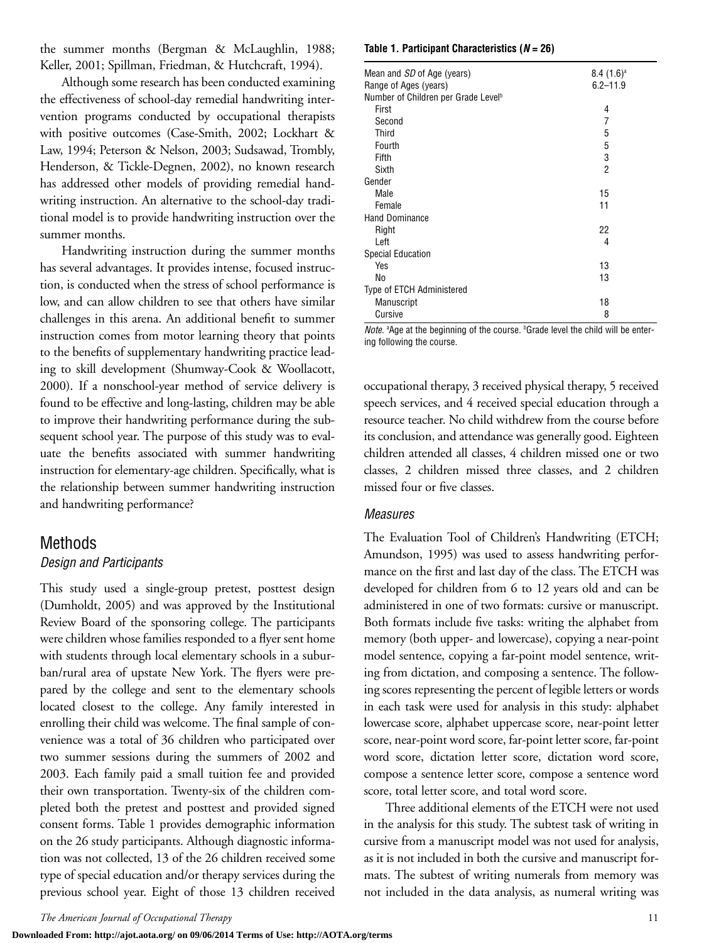the summer months (Bergman & McLaughlin, 1988; Keller, 2001; Spillman, Friedman, & Hutchcraft, 1994).

Although some research has been conducted examining the effectiveness of school-day remedial handwriting intervention programs conducted by occupational therapists with positive outcomes (Case-Smith, 2002; Lockhart & Law, 1994; Peterson & Nelson, 2003; Sudsawad, Trombly, Henderson, & Tickle-Degnen, 2002), no known research has addressed other models of providing remedial handwriting instruction. An alternative to the school-day traditional model is to provide handwriting instruction over the summer months.

Handwriting instruction during the summer months has several advantages. It provides intense, focused instruction, is conducted when the stress of school performance is low, and can allow children to see that others have similar challenges in this arena. An additional benefit to summer instruction comes from motor learning theory that points to the benefits of supplementary handwriting practice leading to skill development (Shumway-Cook & Woollacott, 2000). If a nonschool-year method of service delivery is found to be effective and long-lasting, children may be able to improve their handwriting performance during the subsequent school year. The purpose of this study was to evaluate the benefits associated with summer handwriting instruction for elementary-age children. Specifically, what is the relationship between summer handwriting instruction and handwriting performance?

#### Methods

#### *Design and Participants*

This study used a single-group pretest, posttest design (Dumholdt, 2005) and was approved by the Institutional Review Board of the sponsoring college. The participants were children whose families responded to a flyer sent home with students through local elementary schools in a suburban/rural area of upstate New York. The flyers were prepared by the college and sent to the elementary schools located closest to the college. Any family interested in enrolling their child was welcome. The final sample of convenience was a total of 36 children who participated over two summer sessions during the summers of 2002 and 2003. Each family paid a small tuition fee and provided their own transportation. Twenty-six of the children completed both the pretest and posttest and provided signed consent forms. Table 1 provides demographic information on the 26 study participants. Although diagnostic information was not collected, 13 of the 26 children received some type of special education and/or therapy services during the previous school year. Eight of those 13 children received

#### **Table 1. Participant Characteristics (***N* **= 26)**

| Mean and SD of Age (years)                      | $8.4(1.6)^a$ |
|-------------------------------------------------|--------------|
| Range of Ages (years)                           | $6.2 - 11.9$ |
| Number of Children per Grade Level <sup>b</sup> |              |
| First                                           | 4            |
| Second                                          | 7            |
| Third                                           | 5            |
| Fourth                                          | 5            |
| Fifth                                           | 3            |
| Sixth                                           | 2            |
| Gender                                          |              |
| Male                                            | 15           |
| Female                                          | 11           |
| <b>Hand Dominance</b>                           |              |
| Right                                           | 22           |
| Left                                            | 4            |
| <b>Special Education</b>                        |              |
| Yes                                             | 13           |
| No                                              | 13           |
| Type of ETCH Administered                       |              |
| Manuscript                                      | 18           |
| Cursive                                         | 8            |

Note. <sup>a</sup> Age at the beginning of the course. *Caade level the child will be enter*ing following the course.

occupational therapy, 3 received physical therapy, 5 received speech services, and 4 received special education through a resource teacher. No child withdrew from the course before its conclusion, and attendance was generally good. Eighteen children attended all classes, 4 children missed one or two classes, 2 children missed three classes, and 2 children missed four or five classes.

#### *Measures*

The Evaluation Tool of Children's Handwriting (ETCH; Amundson, 1995) was used to assess handwriting performance on the first and last day of the class. The ETCH was developed for children from 6 to 12 years old and can be administered in one of two formats: cursive or manuscript. Both formats include five tasks: writing the alphabet from memory (both upper- and lowercase), copying a near-point model sentence, copying a far-point model sentence, writing from dictation, and composing a sentence. The following scores representing the percent of legible letters or words in each task were used for analysis in this study: alphabet lowercase score, alphabet uppercase score, near-point letter score, near-point word score, far-point letter score, far-point word score, dictation letter score, dictation word score, compose a sentence letter score, compose a sentence word score, total letter score, and total word score.

Three additional elements of the ETCH were not used in the analysis for this study. The subtest task of writing in cursive from a manuscript model was not used for analysis, as it is not included in both the cursive and manuscript formats. The subtest of writing numerals from memory was not included in the data analysis, as numeral writing was

**Downloaded From: http://ajot.aota.org/ on 09/06/2014 Terms of Use: http://AOTA.org/terms**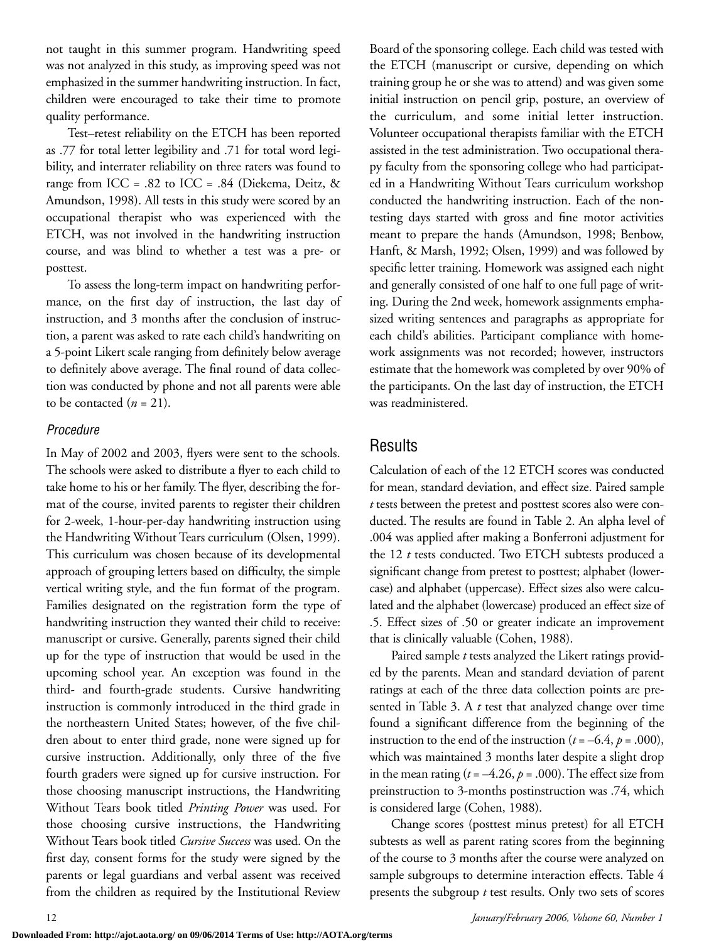not taught in this summer program. Handwriting speed was not analyzed in this study, as improving speed was not emphasized in the summer handwriting instruction. In fact, children were encouraged to take their time to promote quality performance.

Test–retest reliability on the ETCH has been reported as .77 for total letter legibility and .71 for total word legibility, and interrater reliability on three raters was found to range from ICC = .82 to ICC = .84 (Diekema, Deitz,  $\&$ Amundson, 1998). All tests in this study were scored by an occupational therapist who was experienced with the ETCH, was not involved in the handwriting instruction course, and was blind to whether a test was a pre- or posttest.

To assess the long-term impact on handwriting performance, on the first day of instruction, the last day of instruction, and 3 months after the conclusion of instruction, a parent was asked to rate each child's handwriting on a 5-point Likert scale ranging from definitely below average to definitely above average. The final round of data collection was conducted by phone and not all parents were able to be contacted  $(n = 21)$ .

#### *Procedure*

In May of 2002 and 2003, flyers were sent to the schools. The schools were asked to distribute a flyer to each child to take home to his or her family. The flyer, describing the format of the course, invited parents to register their children for 2-week, 1-hour-per-day handwriting instruction using the Handwriting Without Tears curriculum (Olsen, 1999). This curriculum was chosen because of its developmental approach of grouping letters based on difficulty, the simple vertical writing style, and the fun format of the program. Families designated on the registration form the type of handwriting instruction they wanted their child to receive: manuscript or cursive. Generally, parents signed their child up for the type of instruction that would be used in the upcoming school year. An exception was found in the third- and fourth-grade students. Cursive handwriting instruction is commonly introduced in the third grade in the northeastern United States; however, of the five children about to enter third grade, none were signed up for cursive instruction. Additionally, only three of the five fourth graders were signed up for cursive instruction. For those choosing manuscript instructions, the Handwriting Without Tears book titled *Printing Power* was used. For those choosing cursive instructions, the Handwriting Without Tears book titled *Cursive Success* was used. On the first day, consent forms for the study were signed by the parents or legal guardians and verbal assent was received from the children as required by the Institutional Review

Board of the sponsoring college. Each child was tested with the ETCH (manuscript or cursive, depending on which training group he or she was to attend) and was given some initial instruction on pencil grip, posture, an overview of the curriculum, and some initial letter instruction. Volunteer occupational therapists familiar with the ETCH assisted in the test administration. Two occupational therapy faculty from the sponsoring college who had participated in a Handwriting Without Tears curriculum workshop conducted the handwriting instruction. Each of the nontesting days started with gross and fine motor activities meant to prepare the hands (Amundson, 1998; Benbow, Hanft, & Marsh, 1992; Olsen, 1999) and was followed by specific letter training. Homework was assigned each night and generally consisted of one half to one full page of writing. During the 2nd week, homework assignments emphasized writing sentences and paragraphs as appropriate for each child's abilities. Participant compliance with homework assignments was not recorded; however, instructors estimate that the homework was completed by over 90% of the participants. On the last day of instruction, the ETCH was readministered.

#### **Results**

Calculation of each of the 12 ETCH scores was conducted for mean, standard deviation, and effect size. Paired sample *t* tests between the pretest and posttest scores also were conducted. The results are found in Table 2. An alpha level of .004 was applied after making a Bonferroni adjustment for the 12 *t* tests conducted. Two ETCH subtests produced a significant change from pretest to posttest; alphabet (lowercase) and alphabet (uppercase). Effect sizes also were calculated and the alphabet (lowercase) produced an effect size of .5. Effect sizes of .50 or greater indicate an improvement that is clinically valuable (Cohen, 1988).

Paired sample *t* tests analyzed the Likert ratings provided by the parents. Mean and standard deviation of parent ratings at each of the three data collection points are presented in Table 3. A *t* test that analyzed change over time found a significant difference from the beginning of the instruction to the end of the instruction ( $t = -6.4$ ,  $p = .000$ ), which was maintained 3 months later despite a slight drop in the mean rating  $(t = -4.26, p = .000)$ . The effect size from preinstruction to 3-months postinstruction was .74, which is considered large (Cohen, 1988).

Change scores (posttest minus pretest) for all ETCH subtests as well as parent rating scores from the beginning of the course to 3 months after the course were analyzed on sample subgroups to determine interaction effects. Table 4 presents the subgroup *t* test results. Only two sets of scores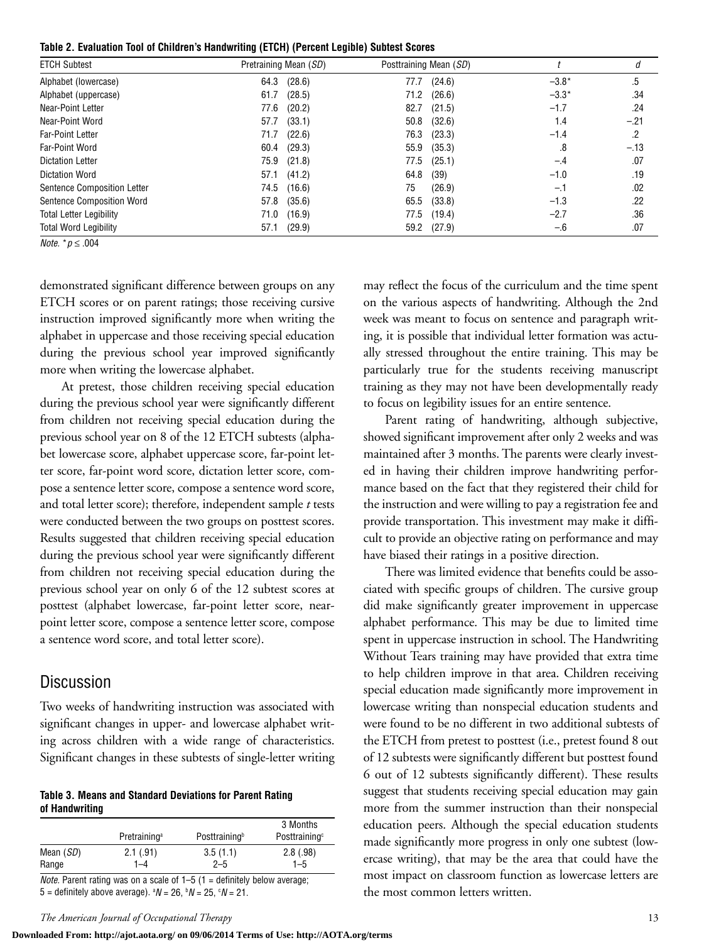**Table 2. Evaluation Tool of Children's Handwriting (ETCH) (Percent Legible) Subtest Scores**

| <b>ETCH Subtest</b>            | Pretraining Mean (SD) | Posttraining Mean (SD) |         | d      |
|--------------------------------|-----------------------|------------------------|---------|--------|
| Alphabet (lowercase)           | 64.3<br>(28.6)        | (24.6)<br>77.7         | $-3.8*$ | .5     |
| Alphabet (uppercase)           | 61.7<br>(28.5)        | 71.2<br>(26.6)         | $-3.3*$ | .34    |
| Near-Point Letter              | 77.6<br>(20.2)        | (21.5)<br>82.7         | $-1.7$  | .24    |
| Near-Point Word                | 57.7<br>(33.1)        | (32.6)<br>50.8         | 1.4     | $-.21$ |
| <b>Far-Point Letter</b>        | (22.6)<br>71.7        | 76.3<br>(23.3)         | $-1.4$  | .2     |
| Far-Point Word                 | (29.3)<br>60.4        | 55.9<br>(35.3)         | .8      | $-.13$ |
| <b>Dictation Letter</b>        | 75.9<br>(21.8)        | 77.5<br>(25.1)         | $-.4$   | .07    |
| <b>Dictation Word</b>          | 57.1<br>(41.2)        | 64.8<br>(39)           | $-1.0$  | .19    |
| Sentence Composition Letter    | (16.6)<br>74.5        | (26.9)<br>75           | $-1$    | .02    |
| Sentence Composition Word      | (35.6)<br>57.8        | 65.5<br>(33.8)         | $-1.3$  | .22    |
| <b>Total Letter Legibility</b> | (16.9)<br>71.0        | 77.5<br>(19.4)         | $-2.7$  | .36    |
| <b>Total Word Legibility</b>   | (29.9)<br>57.1        | (27.9)<br>59.2         | $-.6$   | .07    |

*Note.* \**p* ≤ .004

demonstrated significant difference between groups on any ETCH scores or on parent ratings; those receiving cursive instruction improved significantly more when writing the alphabet in uppercase and those receiving special education during the previous school year improved significantly more when writing the lowercase alphabet.

At pretest, those children receiving special education during the previous school year were significantly different from children not receiving special education during the previous school year on 8 of the 12 ETCH subtests (alphabet lowercase score, alphabet uppercase score, far-point letter score, far-point word score, dictation letter score, compose a sentence letter score, compose a sentence word score, and total letter score); therefore, independent sample *t* tests were conducted between the two groups on posttest scores. Results suggested that children receiving special education during the previous school year were significantly different from children not receiving special education during the previous school year on only 6 of the 12 subtest scores at posttest (alphabet lowercase, far-point letter score, nearpoint letter score, compose a sentence letter score, compose a sentence word score, and total letter score).

#### Discussion

Two weeks of handwriting instruction was associated with significant changes in upper- and lowercase alphabet writing across children with a wide range of characteristics. Significant changes in these subtests of single-letter writing

**Table 3. Means and Standard Deviations for Parent Rating of Handwriting**

|           | Pretraining <sup>a</sup> | Posttraining <sup>b</sup> | 3 Months<br>Posttraining <sup>c</sup> |
|-----------|--------------------------|---------------------------|---------------------------------------|
| Mean (SD) | 2.1(.91)                 | 3.5(1.1)                  | 2.8(.98)                              |
| Range     | 1–4                      | $2 - 5$                   | $1 - 5$                               |
|           |                          |                           |                                       |

*Note.* Parent rating was on a scale of  $1-5$  (1 = definitely below average; 5 = definitely above average).  $^aN$  = 26,  $^bN$  = 25,  $^cN$  = 21.

*The American Journal of Occupational Therapy* 13

may reflect the focus of the curriculum and the time spent on the various aspects of handwriting. Although the 2nd week was meant to focus on sentence and paragraph writing, it is possible that individual letter formation was actually stressed throughout the entire training. This may be particularly true for the students receiving manuscript training as they may not have been developmentally ready to focus on legibility issues for an entire sentence.

Parent rating of handwriting, although subjective, showed significant improvement after only 2 weeks and was maintained after 3 months. The parents were clearly invested in having their children improve handwriting performance based on the fact that they registered their child for the instruction and were willing to pay a registration fee and provide transportation. This investment may make it difficult to provide an objective rating on performance and may have biased their ratings in a positive direction.

There was limited evidence that benefits could be associated with specific groups of children. The cursive group did make significantly greater improvement in uppercase alphabet performance. This may be due to limited time spent in uppercase instruction in school. The Handwriting Without Tears training may have provided that extra time to help children improve in that area. Children receiving special education made significantly more improvement in lowercase writing than nonspecial education students and were found to be no different in two additional subtests of the ETCH from pretest to posttest (i.e., pretest found 8 out of 12 subtests were significantly different but posttest found 6 out of 12 subtests significantly different). These results suggest that students receiving special education may gain more from the summer instruction than their nonspecial education peers. Although the special education students made significantly more progress in only one subtest (lowercase writing), that may be the area that could have the most impact on classroom function as lowercase letters are the most common letters written.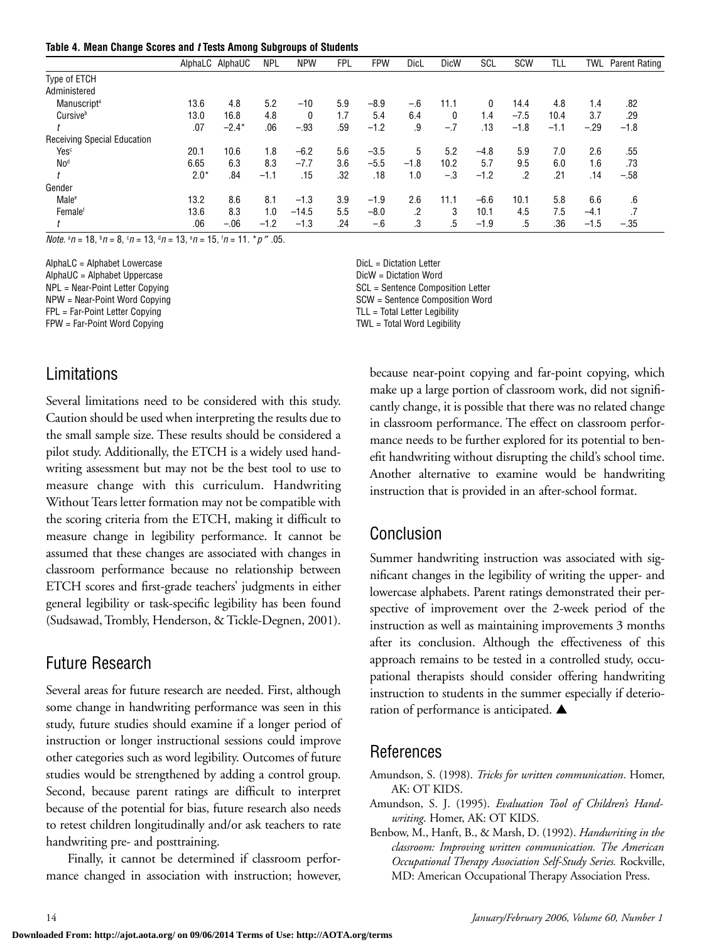|  |  |  | Table 4. Mean Change Scores and t Tests Among Subgroups of Students |  |
|--|--|--|---------------------------------------------------------------------|--|
|--|--|--|---------------------------------------------------------------------|--|

|                                    |        | AlphaLC AlphaUC | <b>NPL</b> | <b>NPW</b> | <b>FPL</b> | <b>FPW</b> | <b>DicL</b> | <b>DicW</b> | SCL    | <b>SCW</b> | TLL    | twl    | Parent Rating |
|------------------------------------|--------|-----------------|------------|------------|------------|------------|-------------|-------------|--------|------------|--------|--------|---------------|
| Type of ETCH                       |        |                 |            |            |            |            |             |             |        |            |        |        |               |
| Administered                       |        |                 |            |            |            |            |             |             |        |            |        |        |               |
| Manuscript <sup>a</sup>            | 13.6   | 4.8             | 5.2        | $-10$      | 5.9        | $-8.9$     | $-.6$       | 11.1        | 0      | 14.4       | 4.8    | 1.4    | .82           |
| Cursiveb                           | 13.0   | 16.8            | 4.8        | 0          | 1.7        | 5.4        | 6.4         | 0           | 1.4    | $-7.5$     | 10.4   | 3.7    | .29           |
|                                    | .07    | $-2.4*$         | .06        | $-.93$     | .59        | $-1.2$     | .9          | $-.7$       | .13    | $-1.8$     | $-1.1$ | $-.29$ | $-1.8$        |
| <b>Receiving Special Education</b> |        |                 |            |            |            |            |             |             |        |            |        |        |               |
| Yes <sup>c</sup>                   | 20.1   | 10.6            | 1.8        | $-6.2$     | 5.6        | $-3.5$     | 5           | 5.2         | $-4.8$ | 5.9        | 7.0    | 2.6    | .55           |
| No <sup>d</sup>                    | 6.65   | 6.3             | 8.3        | $-7.7$     | 3.6        | $-5.5$     | $-1.8$      | 10.2        | 5.7    | 9.5        | 6.0    | 1.6    | .73           |
|                                    | $2.0*$ | .84             | $-1.1$     | .15        | .32        | .18        | 1.0         | $-.3$       | $-1.2$ | .2         | .21    | .14    | $-.58$        |
| Gender                             |        |                 |            |            |            |            |             |             |        |            |        |        |               |
| Male <sup>e</sup>                  | 13.2   | 8.6             | 8.1        | $-1.3$     | 3.9        | $-1.9$     | 2.6         | 11.1        | $-6.6$ | 10.1       | 5.8    | 6.6    | .6            |
| Female <sup>f</sup>                | 13.6   | 8.3             | 1.0        | $-14.5$    | 5.5        | $-8.0$     | .2          | 3           | 10.1   | 4.5        | 7.5    | $-4.1$ |               |
|                                    | .06    | $-.06$          | $-1.2$     | $-1.3$     | .24        | $-.6$      | .3          | .5          | $-1.9$ | .5         | .36    | $-1.5$ | $-.35$        |

*Note.*  $^{a}$ *n* = 18,  $^{b}$ *n* = 8,  $^{c}$ *n* = 13,  $^{d}$ *n* = 13,  $^{e}$ *n* = 15,  $^{f}$ *n* = 11.  $^{*}$ *p*  $''$  .05.

AlphaLC = Alphabet Lowercase Dicl = Dictation Letter AlphaUC = Alphabet Uppercase Dictation Word Business AlphaUC = Alphabet Uppercase FPL = Far-Point Letter Copying TLL = Total Letter Legibility FPW = Far-Point Word Copying TWL = Total Word Legibility

## Limitations

Several limitations need to be considered with this study. Caution should be used when interpreting the results due to the small sample size. These results should be considered a pilot study. Additionally, the ETCH is a widely used handwriting assessment but may not be the best tool to use to measure change with this curriculum. Handwriting Without Tears letter formation may not be compatible with the scoring criteria from the ETCH, making it difficult to measure change in legibility performance. It cannot be assumed that these changes are associated with changes in classroom performance because no relationship between ETCH scores and first-grade teachers' judgments in either general legibility or task-specific legibility has been found (Sudsawad, Trombly, Henderson, & Tickle-Degnen, 2001).

## Future Research

Several areas for future research are needed. First, although some change in handwriting performance was seen in this study, future studies should examine if a longer period of instruction or longer instructional sessions could improve other categories such as word legibility. Outcomes of future studies would be strengthened by adding a control group. Second, because parent ratings are difficult to interpret because of the potential for bias, future research also needs to retest children longitudinally and/or ask teachers to rate handwriting pre- and posttraining.

Finally, it cannot be determined if classroom performance changed in association with instruction; however,

NPL = Near-Point Letter Copying SCL = Sentence Composition Letter

NPW = Near-Point Word Copying Near School SCW = Sentence Composition Word

because near-point copying and far-point copying, which make up a large portion of classroom work, did not significantly change, it is possible that there was no related change in classroom performance. The effect on classroom performance needs to be further explored for its potential to benefit handwriting without disrupting the child's school time. Another alternative to examine would be handwriting instruction that is provided in an after-school format.

## Conclusion

Summer handwriting instruction was associated with significant changes in the legibility of writing the upper- and lowercase alphabets. Parent ratings demonstrated their perspective of improvement over the 2-week period of the instruction as well as maintaining improvements 3 months after its conclusion. Although the effectiveness of this approach remains to be tested in a controlled study, occupational therapists should consider offering handwriting instruction to students in the summer especially if deterioration of performance is anticipated. **▲**

## References

- Amundson, S. (1998). *Tricks for written communication*. Homer, AK: OT KIDS.
- Amundson, S. J. (1995). *Evaluation Tool of Children's Handwriting*. Homer, AK: OT KIDS.
- Benbow, M., Hanft, B., & Marsh, D. (1992). *Handwriting in the classroom: Improving written communication. The American Occupational Therapy Association Self-Study Series.* Rockville, MD: American Occupational Therapy Association Press.